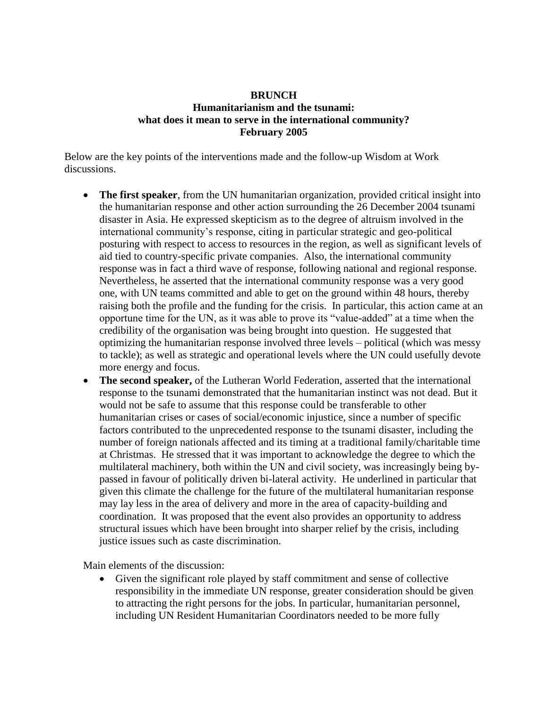## **BRUNCH Humanitarianism and the tsunami: what does it mean to serve in the international community? February 2005**

Below are the key points of the interventions made and the follow-up Wisdom at Work discussions.

- **The first speaker**, from the UN humanitarian organization, provided critical insight into the humanitarian response and other action surrounding the 26 December 2004 tsunami disaster in Asia. He expressed skepticism as to the degree of altruism involved in the international community's response, citing in particular strategic and geo-political posturing with respect to access to resources in the region, as well as significant levels of aid tied to country-specific private companies. Also, the international community response was in fact a third wave of response, following national and regional response. Nevertheless, he asserted that the international community response was a very good one, with UN teams committed and able to get on the ground within 48 hours, thereby raising both the profile and the funding for the crisis. In particular, this action came at an opportune time for the UN, as it was able to prove its "value-added" at a time when the credibility of the organisation was being brought into question. He suggested that optimizing the humanitarian response involved three levels – political (which was messy to tackle); as well as strategic and operational levels where the UN could usefully devote more energy and focus.
- **The second speaker,** of the Lutheran World Federation, asserted that the international response to the tsunami demonstrated that the humanitarian instinct was not dead. But it would not be safe to assume that this response could be transferable to other humanitarian crises or cases of social/economic injustice, since a number of specific factors contributed to the unprecedented response to the tsunami disaster, including the number of foreign nationals affected and its timing at a traditional family/charitable time at Christmas. He stressed that it was important to acknowledge the degree to which the multilateral machinery, both within the UN and civil society, was increasingly being bypassed in favour of politically driven bi-lateral activity. He underlined in particular that given this climate the challenge for the future of the multilateral humanitarian response may lay less in the area of delivery and more in the area of capacity-building and coordination. It was proposed that the event also provides an opportunity to address structural issues which have been brought into sharper relief by the crisis, including justice issues such as caste discrimination.

Main elements of the discussion:

 Given the significant role played by staff commitment and sense of collective responsibility in the immediate UN response, greater consideration should be given to attracting the right persons for the jobs. In particular, humanitarian personnel, including UN Resident Humanitarian Coordinators needed to be more fully